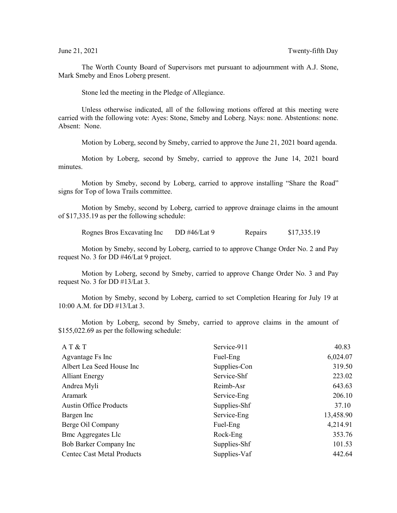The Worth County Board of Supervisors met pursuant to adjournment with A.J. Stone, Mark Smeby and Enos Loberg present.

Stone led the meeting in the Pledge of Allegiance.

Unless otherwise indicated, all of the following motions offered at this meeting were carried with the following vote: Ayes: Stone, Smeby and Loberg. Nays: none. Abstentions: none. Absent: None.

Motion by Loberg, second by Smeby, carried to approve the June 21, 2021 board agenda.

Motion by Loberg, second by Smeby, carried to approve the June 14, 2021 board minutes.

Motion by Smeby, second by Loberg, carried to approve installing "Share the Road" signs for Top of Iowa Trails committee.

Motion by Smeby, second by Loberg, carried to approve drainage claims in the amount of \$17,335.19 as per the following schedule:

Rognes Bros Excavating Inc DD #46/Lat 9 Repairs \$17,335.19

Motion by Smeby, second by Loberg, carried to to approve Change Order No. 2 and Pay request No. 3 for DD #46/Lat 9 project.

Motion by Loberg, second by Smeby, carried to approve Change Order No. 3 and Pay request No. 3 for DD #13/Lat 3.

Motion by Smeby, second by Loberg, carried to set Completion Hearing for July 19 at 10:00 A.M. for DD #13/Lat 3.

Motion by Loberg, second by Smeby, carried to approve claims in the amount of \$155,022.69 as per the following schedule:

| Service-911  | 40.83     |
|--------------|-----------|
| Fuel-Eng     | 6,024.07  |
| Supplies-Con | 319.50    |
| Service-Shf  | 223.02    |
| Reimb-Asr    | 643.63    |
| Service-Eng  | 206.10    |
| Supplies-Shf | 37.10     |
| Service-Eng  | 13,458.90 |
| Fuel-Eng     | 4,214.91  |
| Rock-Eng     | 353.76    |
| Supplies-Shf | 101.53    |
| Supplies-Vaf | 442.64    |
|              |           |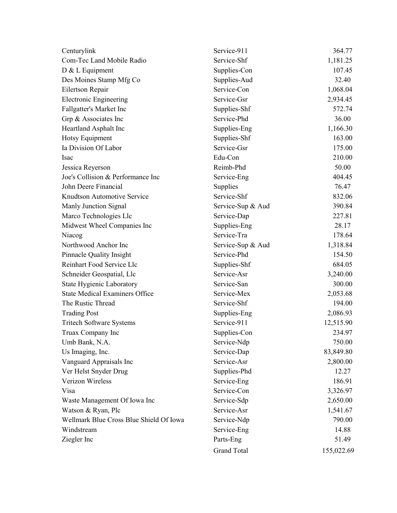| Centurylink                             | Service-911        | 364.77     |
|-----------------------------------------|--------------------|------------|
| Com-Tec Land Mobile Radio               | Service-Shf        | 1,181.25   |
| D & L Equipment                         | Supplies-Con       | 107.45     |
| Des Moines Stamp Mfg Co                 | Supplies-Aud       | 32.40      |
| Eilertson Repair                        | Service-Con        | 1,068.04   |
| <b>Electronic Engineering</b>           | Service-Gsr        | 2,934.45   |
| Fallgatter's Market Inc                 | Supplies-Shf       | 572.74     |
| Grp & Associates Inc                    | Service-Phd        | 36.00      |
| Heartland Asphalt Inc                   | Supplies-Eng       | 1,166.30   |
| Hotsy Equipment                         | Supplies-Shf       | 163.00     |
| Ia Division Of Labor                    | Service-Gsr        | 175.00     |
| Isac                                    | Edu-Con            | 210.00     |
| Jessica Reyerson                        | Reimb-Phd          | 50.00      |
| Joe's Collision & Performance Inc       | Service-Eng        | 404.45     |
| John Deere Financial                    | Supplies           | 76.47      |
| Knudtson Automotive Service             | Service-Shf        | 832.06     |
| Manly Junction Signal                   | Service-Sup & Aud  | 390.84     |
| Marco Technologies Llc                  | Service-Dap        | 227.81     |
| Midwest Wheel Companies Inc             | Supplies-Eng       | 28.17      |
| Niacog                                  | Service-Tra        | 178.64     |
| Northwood Anchor Inc                    | Service-Sup & Aud  | 1,318.84   |
| Pinnacle Quality Insight                | Service-Phd        | 154.50     |
| Reinhart Food Service Llc               | Supplies-Shf       | 684.05     |
| Schneider Geospatial, Llc               | Service-Asr        | 3,240.00   |
| State Hygienic Laboratory               | Service-San        | 300.00     |
| <b>State Medical Examiners Office</b>   | Service-Mex        | 2,053.68   |
| The Rustic Thread                       | Service-Shf        | 194.00     |
| <b>Trading Post</b>                     | Supplies-Eng       | 2,086.93   |
| <b>Tritech Software Systems</b>         | Service-911        | 12,515.90  |
| Truax Company Inc                       | Supplies-Con       | 234.97     |
| Umb Bank, N.A.                          | Service-Ndp        | 750.00     |
| Us Imaging, Inc.                        | Service-Dap        | 83,849.80  |
| Vanguard Appraisals Inc                 | Service-Asr        | 2,800.00   |
| Ver Helst Snyder Drug                   | Supplies-Phd       | 12.27      |
| Verizon Wireless                        | Service-Eng        | 186.91     |
| Visa                                    | Service-Con        | 3,326.97   |
| Waste Management Of Iowa Inc            | Service-Sdp        | 2,650.00   |
| Watson & Ryan, Plc                      | Service-Asr        | 1,541.67   |
| Wellmark Blue Cross Blue Shield Of Iowa | Service-Ndp        | 790.00     |
| Windstream                              | Service-Eng        | 14.88      |
| Ziegler Inc                             | Parts-Eng          | 51.49      |
|                                         | <b>Grand Total</b> | 155,022.69 |